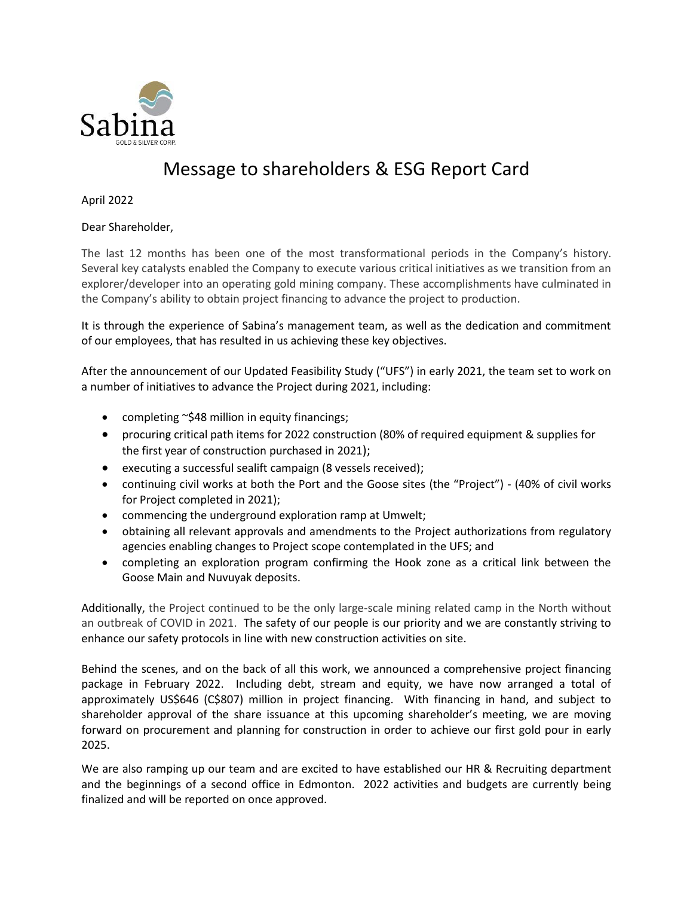

## Message to shareholders & ESG Report Card

April 2022

Dear Shareholder,

The last 12 months has been one of the most transformational periods in the Company's history. Several key catalysts enabled the Company to execute various critical initiatives as we transition from an explorer/developer into an operating gold mining company. These accomplishments have culminated in the Company's ability to obtain project financing to advance the project to production.

It is through the experience of Sabina's management team, as well as the dedication and commitment of our employees, that has resulted in us achieving these key objectives.

After the announcement of our Updated Feasibility Study ("UFS") in early 2021, the team set to work on a number of initiatives to advance the Project during 2021, including:

- completing ~\$48 million in equity financings;
- procuring critical path items for 2022 construction (80% of required equipment & supplies for the first year of construction purchased in 2021);
- executing a successful sealift campaign (8 vessels received);
- continuing civil works at both the Port and the Goose sites (the "Project") (40% of civil works for Project completed in 2021);
- commencing the underground exploration ramp at Umwelt;
- obtaining all relevant approvals and amendments to the Project authorizations from regulatory agencies enabling changes to Project scope contemplated in the UFS; and
- completing an exploration program confirming the Hook zone as a critical link between the Goose Main and Nuvuyak deposits.

Additionally, the Project continued to be the only large-scale mining related camp in the North without an outbreak of COVID in 2021. The safety of our people is our priority and we are constantly striving to enhance our safety protocols in line with new construction activities on site.

Behind the scenes, and on the back of all this work, we announced a comprehensive project financing package in February 2022. Including debt, stream and equity, we have now arranged a total of approximately US\$646 (C\$807) million in project financing. With financing in hand, and subject to shareholder approval of the share issuance at this upcoming shareholder's meeting, we are moving forward on procurement and planning for construction in order to achieve our first gold pour in early 2025.

We are also ramping up our team and are excited to have established our HR & Recruiting department and the beginnings of a second office in Edmonton. 2022 activities and budgets are currently being finalized and will be reported on once approved.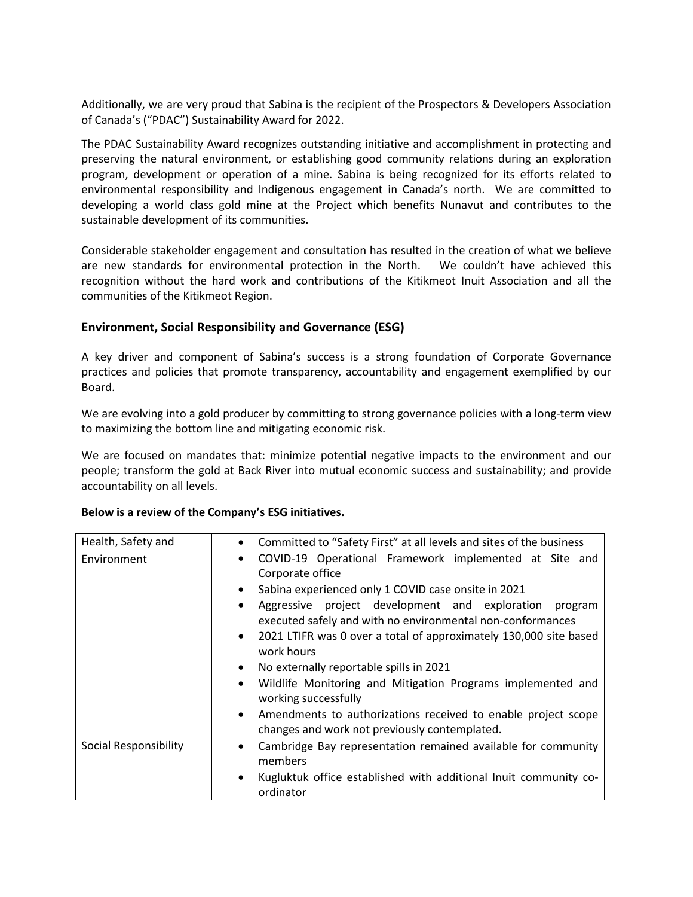Additionally, we are very proud that Sabina is the recipient of the Prospectors & Developers Association of Canada's ("PDAC") Sustainability Award for 2022.

The PDAC Sustainability Award recognizes outstanding initiative and accomplishment in protecting and preserving the natural environment, or establishing good community relations during an exploration program, development or operation of a mine. Sabina is being recognized for its efforts related to environmental responsibility and Indigenous engagement in Canada's north. We are committed to developing a world class gold mine at the Project which benefits Nunavut and contributes to the sustainable development of its communities.

Considerable stakeholder engagement and consultation has resulted in the creation of what we believe are new standards for environmental protection in the North. We couldn't have achieved this recognition without the hard work and contributions of the Kitikmeot Inuit Association and all the communities of the Kitikmeot Region.

## **Environment, Social Responsibility and Governance (ESG)**

A key driver and component of Sabina's success is a strong foundation of Corporate Governance practices and policies that promote transparency, accountability and engagement exemplified by our Board.

We are evolving into a gold producer by committing to strong governance policies with a long-term view to maximizing the bottom line and mitigating economic risk.

We are focused on mandates that: minimize potential negative impacts to the environment and our people; transform the gold at Back River into mutual economic success and sustainability; and provide accountability on all levels.

## **Below is a review of the Company's ESG initiatives.**

| Health, Safety and    | Committed to "Safety First" at all levels and sites of the business<br>$\bullet$                                                                                                                                                                                                           |
|-----------------------|--------------------------------------------------------------------------------------------------------------------------------------------------------------------------------------------------------------------------------------------------------------------------------------------|
| Environment           | COVID-19 Operational Framework implemented at Site and<br>$\bullet$<br>Corporate office                                                                                                                                                                                                    |
|                       | Sabina experienced only 1 COVID case onsite in 2021<br>$\bullet$<br>Aggressive project development and exploration<br>program<br>$\bullet$<br>executed safely and with no environmental non-conformances<br>2021 LTIFR was 0 over a total of approximately 130,000 site based<br>$\bullet$ |
|                       | work hours<br>No externally reportable spills in 2021<br>$\bullet$                                                                                                                                                                                                                         |
|                       | Wildlife Monitoring and Mitigation Programs implemented and<br>$\bullet$<br>working successfully                                                                                                                                                                                           |
|                       | • Amendments to authorizations received to enable project scope<br>changes and work not previously contemplated.                                                                                                                                                                           |
| Social Responsibility | Cambridge Bay representation remained available for community<br>$\bullet$<br>members                                                                                                                                                                                                      |
|                       | Kugluktuk office established with additional Inuit community co-<br>$\bullet$<br>ordinator                                                                                                                                                                                                 |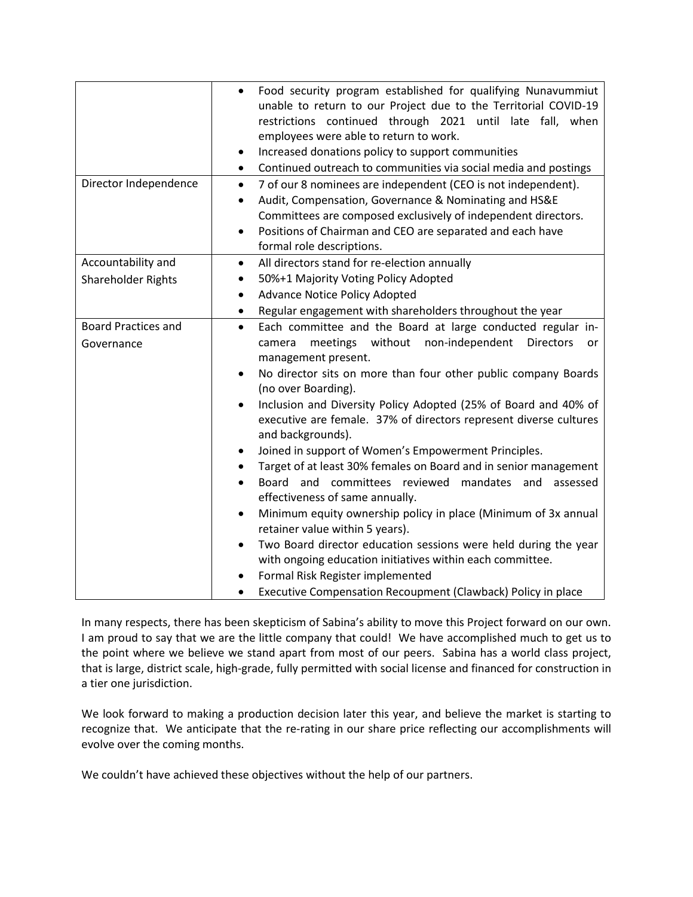|                            | Food security program established for qualifying Nunavummiut<br>$\bullet$<br>unable to return to our Project due to the Territorial COVID-19<br>restrictions continued through 2021 until late fall, when<br>employees were able to return to work.<br>Increased donations policy to support communities<br>٠<br>Continued outreach to communities via social media and postings<br>$\bullet$ |
|----------------------------|-----------------------------------------------------------------------------------------------------------------------------------------------------------------------------------------------------------------------------------------------------------------------------------------------------------------------------------------------------------------------------------------------|
| Director Independence      | 7 of our 8 nominees are independent (CEO is not independent).<br>$\bullet$                                                                                                                                                                                                                                                                                                                    |
|                            | Audit, Compensation, Governance & Nominating and HS&E<br>$\bullet$<br>Committees are composed exclusively of independent directors.                                                                                                                                                                                                                                                           |
|                            | Positions of Chairman and CEO are separated and each have<br>$\bullet$                                                                                                                                                                                                                                                                                                                        |
|                            | formal role descriptions.                                                                                                                                                                                                                                                                                                                                                                     |
| Accountability and         | All directors stand for re-election annually<br>$\bullet$                                                                                                                                                                                                                                                                                                                                     |
| Shareholder Rights         | 50%+1 Majority Voting Policy Adopted<br>$\bullet$                                                                                                                                                                                                                                                                                                                                             |
|                            | Advance Notice Policy Adopted<br>$\bullet$                                                                                                                                                                                                                                                                                                                                                    |
|                            | Regular engagement with shareholders throughout the year<br>$\bullet$                                                                                                                                                                                                                                                                                                                         |
| <b>Board Practices and</b> | Each committee and the Board at large conducted regular in-<br>$\bullet$                                                                                                                                                                                                                                                                                                                      |
| Governance                 | meetings without non-independent<br><b>Directors</b><br>camera<br>or<br>management present.                                                                                                                                                                                                                                                                                                   |
|                            | No director sits on more than four other public company Boards<br>$\bullet$<br>(no over Boarding).                                                                                                                                                                                                                                                                                            |
|                            | Inclusion and Diversity Policy Adopted (25% of Board and 40% of<br>$\bullet$<br>executive are female. 37% of directors represent diverse cultures<br>and backgrounds).                                                                                                                                                                                                                        |
|                            | Joined in support of Women's Empowerment Principles.<br>$\bullet$                                                                                                                                                                                                                                                                                                                             |
|                            | Target of at least 30% females on Board and in senior management<br>$\bullet$                                                                                                                                                                                                                                                                                                                 |
|                            | Board and committees reviewed mandates and assessed                                                                                                                                                                                                                                                                                                                                           |
|                            | effectiveness of same annually.                                                                                                                                                                                                                                                                                                                                                               |
|                            | Minimum equity ownership policy in place (Minimum of 3x annual<br>$\bullet$<br>retainer value within 5 years).                                                                                                                                                                                                                                                                                |
|                            | Two Board director education sessions were held during the year<br>$\bullet$                                                                                                                                                                                                                                                                                                                  |
|                            | with ongoing education initiatives within each committee.                                                                                                                                                                                                                                                                                                                                     |
|                            | Formal Risk Register implemented                                                                                                                                                                                                                                                                                                                                                              |
|                            | Executive Compensation Recoupment (Clawback) Policy in place                                                                                                                                                                                                                                                                                                                                  |

In many respects, there has been skepticism of Sabina's ability to move this Project forward on our own. I am proud to say that we are the little company that could! We have accomplished much to get us to the point where we believe we stand apart from most of our peers. Sabina has a world class project, that is large, district scale, high-grade, fully permitted with social license and financed for construction in a tier one jurisdiction.

We look forward to making a production decision later this year, and believe the market is starting to recognize that. We anticipate that the re-rating in our share price reflecting our accomplishments will evolve over the coming months.

We couldn't have achieved these objectives without the help of our partners.